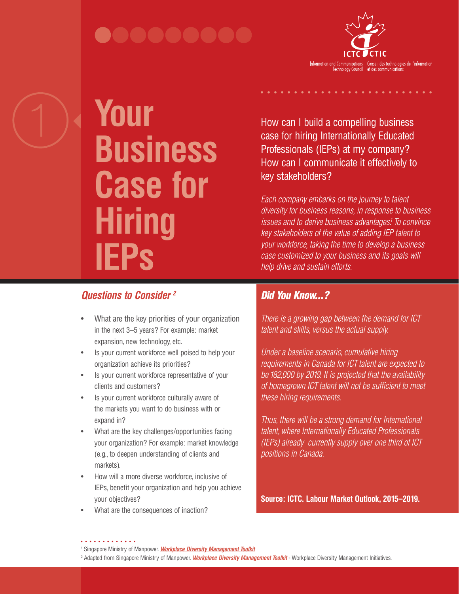## .........



# **Your Business Case for Hiring IEPs**

*Questions to Consider 2* 

- What are the key priorities of your organization in the next 3–5 years? For example: market expansion, new technology, etc.
- Is your current workforce well poised to help your organization achieve its priorities?
- Is your current workforce representative of your clients and customers?
- Is your current workforce culturally aware of the markets you want to do business with or expand in?
- What are the key challenges/opportunities facing your organization? For example: market knowledge (e.g., to deepen understanding of clients and markets).
- How will a more diverse workforce, inclusive of IEPs, benefit your organization and help you achieve your objectives?
- What are the consequences of inaction?

How can I build a compelling business case for hiring Internationally Educated Professionals (IEPs) at my company? How can I communicate it effectively to key stakeholders?

*Each company embarks on the journey to talent diversity for business reasons, in response to business issues and to derive business advantages.1 To convince key stakeholders of the value of adding IEP talent to your workforce, taking the time to develop a business case customized to your business and its goals will help drive and sustain efforts.*

## *Did You Know...?*

*There is a growing gap between the demand for ICT talent and skills, versus the actual supply.* 

*Under a baseline scenario, cumulative hiring requirements in Canada for ICT talent are expected to be 182,000 by 2019. It is projected that the availability of homegrown ICT talent will not be sufficient to meet these hiring requirements.*

*Thus, there will be a strong demand for International talent, where Internationally Educated Professionals (IEPs) already currently supply over one third of ICT positions in Canada.*

**Source: ICTC. Labour Market Outlook, 2015–2019.**

<sup>1</sup> Singapore Ministry of Manpower. *Workplace Diversity Management Toolkit*

<sup>&</sup>lt;sup>2</sup> Adapted from Singapore Ministry of Manpower. *Workplace Diversity Management Toolkit* - Workplace Diversity Management Initiatives.